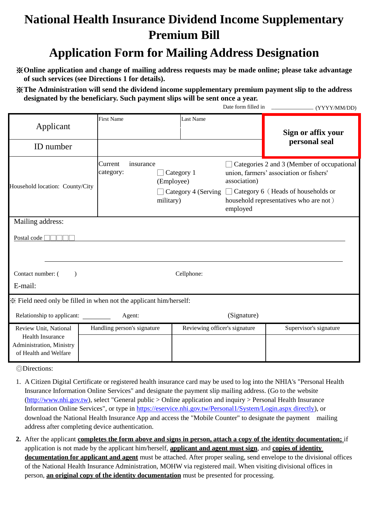## **National Health Insurance Dividend Income Supplementary Premium Bill**

## **Application Form for Mailing Address Designation**

※**Online application and change of mailing address requests may be made online; please take advantage of such services (see Directions 1 for details).**

※**The Administration will send the dividend income supplementary premium payment slip to the address designated by the beneficiary. Such payment slips will be sent once a year.**

|                                                                                                       |                                   |                                       |                               | Date form filled in      | (YYYY/MM/DD)                                                                                                                                                                 |  |  |
|-------------------------------------------------------------------------------------------------------|-----------------------------------|---------------------------------------|-------------------------------|--------------------------|------------------------------------------------------------------------------------------------------------------------------------------------------------------------------|--|--|
| Applicant                                                                                             | <b>First Name</b>                 |                                       | Last Name                     |                          | Sign or affix your<br>personal seal                                                                                                                                          |  |  |
| ID number                                                                                             |                                   |                                       |                               |                          |                                                                                                                                                                              |  |  |
| Household location: County/City                                                                       | Current<br>insurance<br>category: | Category 1<br>(Employee)<br>military) | $\Box$ Category 4 (Serving    | association)<br>employed | Categories 2 and 3 (Member of occupational<br>union, farmers' association or fishers'<br>$\Box$ Category 6 (Heads of households or<br>household representatives who are not) |  |  |
| Mailing address:                                                                                      |                                   |                                       |                               |                          |                                                                                                                                                                              |  |  |
| Postal code                                                                                           |                                   |                                       |                               |                          |                                                                                                                                                                              |  |  |
|                                                                                                       |                                   |                                       |                               |                          |                                                                                                                                                                              |  |  |
| Contact number: (<br>Cellphone:<br>$\lambda$                                                          |                                   |                                       |                               |                          |                                                                                                                                                                              |  |  |
| E-mail:                                                                                               |                                   |                                       |                               |                          |                                                                                                                                                                              |  |  |
| Field need only be filled in when not the applicant him/herself:                                      |                                   |                                       |                               |                          |                                                                                                                                                                              |  |  |
| Relationship to applicant:                                                                            | Agent:                            |                                       |                               | (Signature)              |                                                                                                                                                                              |  |  |
| Review Unit, National<br><b>Health Insurance</b><br>Administration, Ministry<br>of Health and Welfare | Handling person's signature       |                                       | Reviewing officer's signature |                          | Supervisor's signature                                                                                                                                                       |  |  |
|                                                                                                       |                                   |                                       |                               |                          |                                                                                                                                                                              |  |  |

◎Directions:

- 1. A Citizen Digital Certificate or registered health insurance card may be used to log into the NHIA's "Personal Health Insurance Information Online Services" and designate the payment slip mailing address. (Go to the website [\(http://www.nhi.gov.tw\)](http://www.nhi.gov.tw/), select "General public > Online application and inquiry > Personal Health Insurance Information Online Services", or type in [https://eservice.nhi.gov.tw/Personal1/System/Login.aspx directly\)](https://eservice.nhi.gov.tw/Personal1/System/Login.aspx%20directly), or download the National Health Insurance App and access the "Mobile Counter" to designate the payment mailing address after completing device authentication.
- **2.** After the applicant **completes the form above and signs in person, attach a copy of the identity documentation;** if application is not made by the applicant him/herself, **applicant and agent must sign**, and **copies of identity documentation for applicant and agent** must be attached. After proper sealing, send envelope to the divisional offices of the National Health Insurance Administration, MOHW via registered mail. When visiting divisional offices in person, **an original copy of the identity documentation** must be presented for processing.